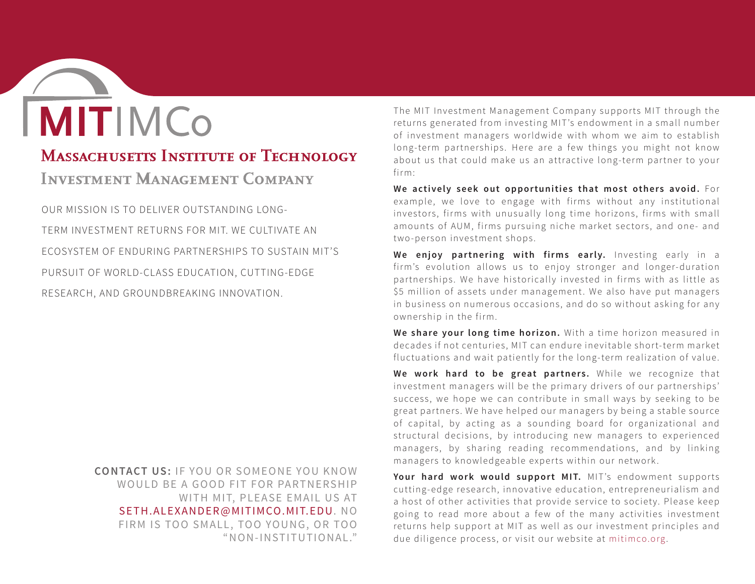# **MITIMCo**

# **MASSACHUSETTS INSTITUTE OF TECHNOLOGY INVESTMENT MANAGEMENT COMPANY**

OUR MISSION IS TO DELIVER OUTSTANDING LONG-TERM INVESTMENT RETURNS FOR MIT. WE CULTIVATE AN ECOSYSTEM OF ENDURING PARTNERSHIPS TO SUSTAIN MIT'S PURSUIT OF WORLD-CLASS EDUCATION, CUTTING-EDGE RESEARCH, AND GROUNDBREAKING INNOVATION.

> **CONTACT US:** IF YOU OR SOMEONE YOU KNOW WOULD BE A GOOD FIT FOR PARTNERSHIP WITH MIT, PLEASE EMAIL US AT SETH.ALEXANDER@MITIMCO.MIT.EDU. NO FIRM IS TOO SMALL, TOO YOUNG, OR TOO "NON-INSTITUTIONAL."

The MIT Investment Management Company supports MIT through the returns generated from investing MIT's endowment in a small number of investment managers worldwide with whom we aim to establish long-term partnerships. Here are a few things you might not know about us that could make us an attractive long-term partner to your firm:

We actively seek out opportunities that most others avoid. For example, we love to engage with firms without any institutional investors, firms with unusually long time horizons, firms with small amounts of AUM, firms pursuing niche market sectors, and one- and two-person investment shops.

We enjoy partnering with firms early. Investing early in a firm's evolution allows us to enjoy stronger and longer-duration partnerships. We have historically invested in firms with as little as \$5 million of assets under management. We also have put managers in business on numerous occasions, and do so without asking for any ownership in the firm.

We share your long time horizon. With a time horizon measured in decades if not centuries, MIT can endure inevitable short-term market fluctuations and wait patiently for the long-term realization of value.

We work hard to be great partners. While we recognize that investment managers will be the primary drivers of our partnerships' success, we hope we can contribute in small ways by seeking to be great partners. We have helped our managers by being a stable source of capital, by acting as a sounding board for organizational and structural decisions, by introducing new managers to experienced managers, by sharing reading recommendations, and by linking managers to knowledgeable experts within our network.

Your hard work would support MIT. MIT's endowment supports cutting-edge research, innovative education, entrepreneurialism and a host of other activities that provide service to society. Please keep going to read more about a few of the many activities investment returns help support at MIT as well as our investment principles and due diligence process, or visit our website at mitimco.org.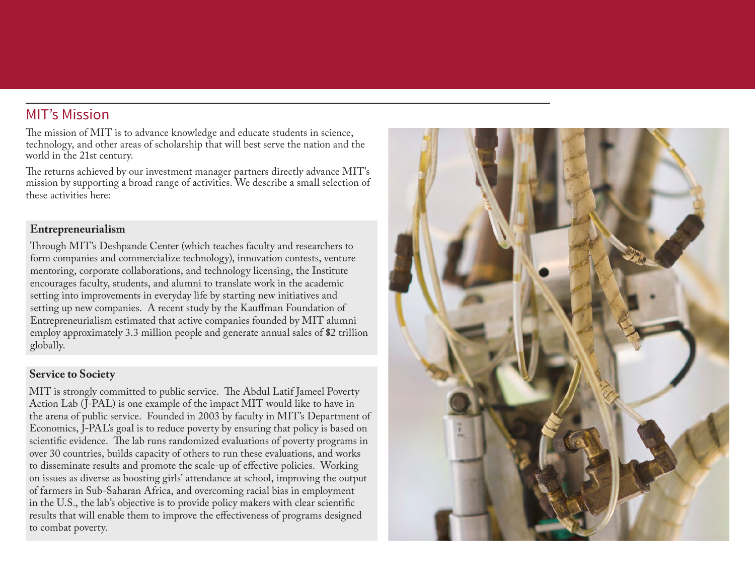# MIT's Mission

The mission of MIT is to advance knowledge and educate students in science, technology, and other areas of scholarship that will best serve the nation and the world in the 21st century.

The returns achieved by our investment manager partners directly advance MIT's mission by supporting a broad range of activities. We describe a small selection of these activities here:

## **Entrepreneurialism**

Through MIT's Deshpande Center (which teaches faculty and researchers to form companies and commercialize technology), innovation contests, venture mentoring, corporate collaborations, and technology licensing, the Institute encourages faculty, students, and alumni to translate work in the academic setting into improvements in everyday life by starting new initiatives and setting up new companies. A recent study by the Kauffman Foundation of Entrepreneurialism estimated that active companies founded by MIT alumni employ approximately 3.3 million people and generate annual sales of \$2 trillion globally.

## **Service to Society**

MIT is strongly committed to public service. The Abdul Latif Jameel Poverty Action Lab (J-PAL) is one example of the impact MIT would like to have in the arena of public service. Founded in 2003 by faculty in MIT's Department of Economics, J-PAL's goal is to reduce poverty by ensuring that policy is based on scientific evidence. The lab runs randomized evaluations of poverty programs in over 30 countries, builds capacity of others to run these evaluations, and works to disseminate results and promote the scale-up of effective policies. Working on issues as diverse as boosting girls' attendance at school, improving the output of farmers in Sub-Saharan Africa, and overcoming racial bias in employment in the U.S., the lab's objective is to provide policy makers with clear scientific results that will enable them to improve the effectiveness of programs designed to combat poverty.

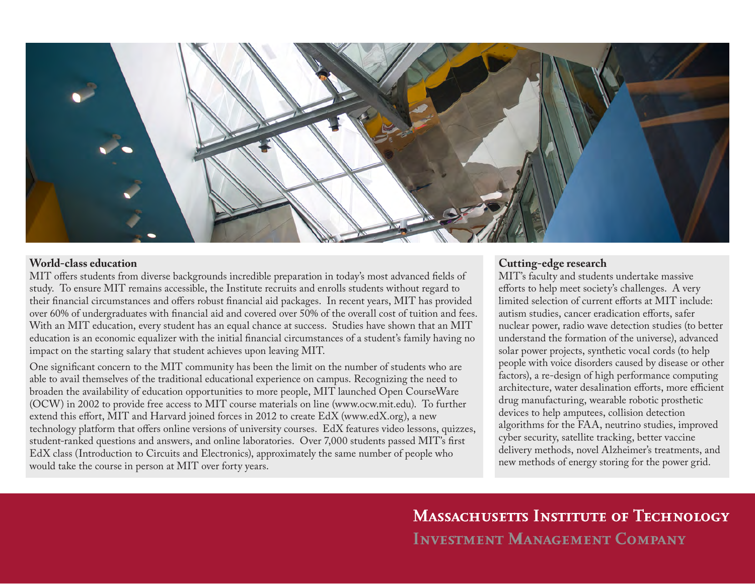

#### **World-class education**

MIT offers students from diverse backgrounds incredible preparation in today's most advanced fields of study. To ensure MIT remains accessible, the Institute recruits and enrolls students without regard to their financial circumstances and offers robust financial aid packages. In recent years, MIT has provided over 60% of undergraduates with financial aid and covered over 50% of the overall cost of tuition and fees. With an MIT education, every student has an equal chance at success. Studies have shown that an MIT education is an economic equalizer with the initial financial circumstances of a student's family having no impact on the starting salary that student achieves upon leaving MIT.

One significant concern to the MIT community has been the limit on the number of students who are able to avail themselves of the traditional educational experience on campus. Recognizing the need to broaden the availability of education opportunities to more people, MIT launched Open CourseWare (OCW) in 2002 to provide free access to MIT course materials on line (www.ocw.mit.edu). To further extend this effort, MIT and Harvard joined forces in 2012 to create EdX (www.edX.org), a new technology platform that offers online versions of university courses. EdX features video lessons, quizzes, student-ranked questions and answers, and online laboratories. Over 7,000 students passed MIT's first EdX class (Introduction to Circuits and Electronics), approximately the same number of people who would take the course in person at MIT over forty years.

### **Cutting-edge research**

MIT's faculty and students undertake massive efforts to help meet society's challenges. A very limited selection of current efforts at MIT include: autism studies, cancer eradication efforts, safer nuclear power, radio wave detection studies (to better understand the formation of the universe), advanced solar power projects, synthetic vocal cords (to help people with voice disorders caused by disease or other factors), a re-design of high performance computing architecture, water desalination efforts, more efficient drug manufacturing, wearable robotic prosthetic devices to help amputees, collision detection algorithms for the FAA, neutrino studies, improved cyber security, satellite tracking, better vaccine delivery methods, novel Alzheimer's treatments, and new methods of energy storing for the power grid.

**MASSACHUSETTS INSTITUTE OF TECHNOLOGY INVESTMENT MANAGEMENT COMPANY**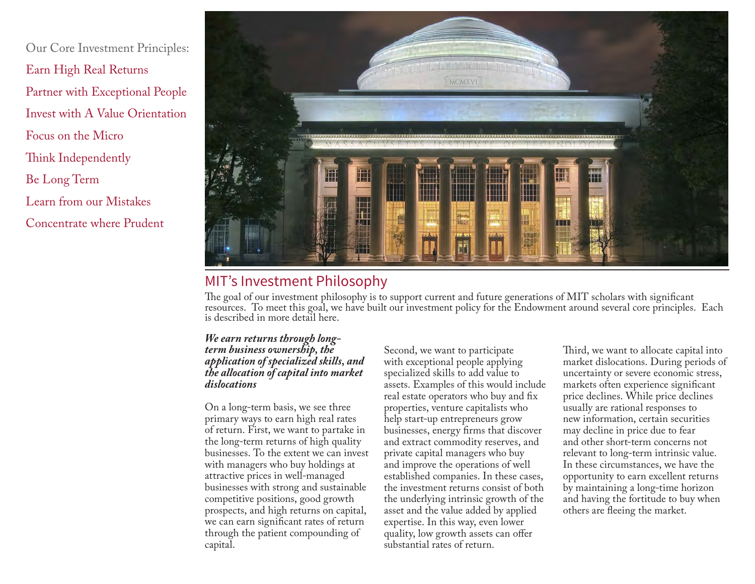Our Core Investment Principles: Earn High Real Returns Partner with Exceptional People Invest with A Value Orientation Focus on the Micro Think Independently Be Long Term Learn from our Mistakes Concentrate where Prudent



## MIT's Investment Philosophy

The goal of our investment philosophy is to support current and future generations of MIT scholars with significant resources. To meet this goal, we have built our investment policy for the Endowment around several core principles. Each is described in more detail here.

#### *We earn returns through longterm business ownership, the application of specialized skills, and the allocation of capital into market dislocations*

On a long-term basis, we see three primary ways to earn high real rates of return. First, we want to partake in the long-term returns of high quality businesses. To the extent we can invest with managers who buy holdings at attractive prices in well-managed businesses with strong and sustainable competitive positions, good growth prospects, and high returns on capital, we can earn significant rates of return through the patient compounding of capital.

Second, we want to participate with exceptional people applying specialized skills to add value to assets. Examples of this would include real estate operators who buy and fix properties, venture capitalists who help start-up entrepreneurs grow businesses, energy firms that discover and extract commodity reserves, and private capital managers who buy and improve the operations of well established companies. In these cases, the investment returns consist of both the underlying intrinsic growth of the asset and the value added by applied expertise. In this way, even lower quality, low growth assets can offer substantial rates of return.

Third, we want to allocate capital into market dislocations. During periods of uncertainty or severe economic stress, markets often experience significant price declines. While price declines usually are rational responses to new information, certain securities may decline in price due to fear and other short-term concerns not relevant to long-term intrinsic value. In these circumstances, we have the opportunity to earn excellent returns by maintaining a long-time horizon and having the fortitude to buy when others are fleeing the market.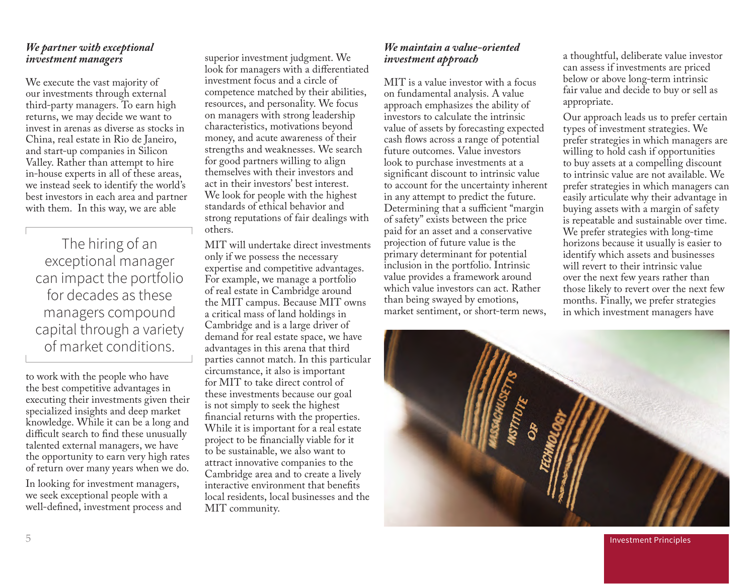#### *We partner with exceptional investment managers*

We execute the vast majority of our investments through external third-party managers. To earn high returns, we may decide we want to invest in arenas as diverse as stocks in China, real estate in Rio de Janeiro, and start-up companies in Silicon Valley. Rather than attempt to hire in-house experts in all of these areas, we instead seek to identify the world's best investors in each area and partner with them. In this way, we are able

The hiring of an exceptional manager can impact the portfolio for decades as these managers compound capital through a variety of market conditions.

to work with the people who have the best competitive advantages in executing their investments given their specialized insights and deep market knowledge. While it can be a long and difficult search to find these unusually talented external managers, we have the opportunity to earn very high rates of return over many years when we do.

In looking for investment managers, we seek exceptional people with a well-defined, investment process and superior investment judgment. We look for managers with a differentiated investment focus and a circle of competence matched by their abilities, resources, and personality. We focus on managers with strong leadership characteristics, motivations beyond money, and acute awareness of their strengths and weaknesses. We search for good partners willing to align themselves with their investors and act in their investors' best interest. We look for people with the highest standards of ethical behavior and strong reputations of fair dealings with others.

MIT will undertake direct investments only if we possess the necessary expertise and competitive advantages. For example, we manage a portfolio of real estate in Cambridge around the MIT campus. Because MIT owns a critical mass of land holdings in Cambridge and is a large driver of demand for real estate space, we have advantages in this arena that third parties cannot match. In this particular circumstance, it also is important for MIT to take direct control of these investments because our goal is not simply to seek the highest financial returns with the properties. While it is important for a real estate project to be financially viable for it to be sustainable, we also want to attract innovative companies to the Cambridge area and to create a lively interactive environment that benefits local residents, local businesses and the MIT community.

#### *We maintain a value-oriented investment approach*

MIT is a value investor with a focus on fundamental analysis. A value approach emphasizes the ability of investors to calculate the intrinsic value of assets by forecasting expected cash flows across a range of potential future outcomes. Value investors look to purchase investments at a significant discount to intrinsic value to account for the uncertainty inherent in any attempt to predict the future. Determining that a sufficient "margin of safety" exists between the price paid for an asset and a conservative projection of future value is the primary determinant for potential inclusion in the portfolio. Intrinsic value provides a framework around which value investors can act. Rather than being swayed by emotions, market sentiment, or short-term news,

a thoughtful, deliberate value investor can assess if investments are priced below or above long-term intrinsic fair value and decide to buy or sell as appropriate.

Our approach leads us to prefer certain types of investment strategies. We prefer strategies in which managers are willing to hold cash if opportunities to buy assets at a compelling discount to intrinsic value are not available. We prefer strategies in which managers can easily articulate why their advantage in buying assets with a margin of safety is repeatable and sustainable over time. We prefer strategies with long-time horizons because it usually is easier to identify which assets and businesses will revert to their intrinsic value over the next few years rather than those likely to revert over the next few months. Finally, we prefer strategies in which investment managers have



 $5$  Investment Principles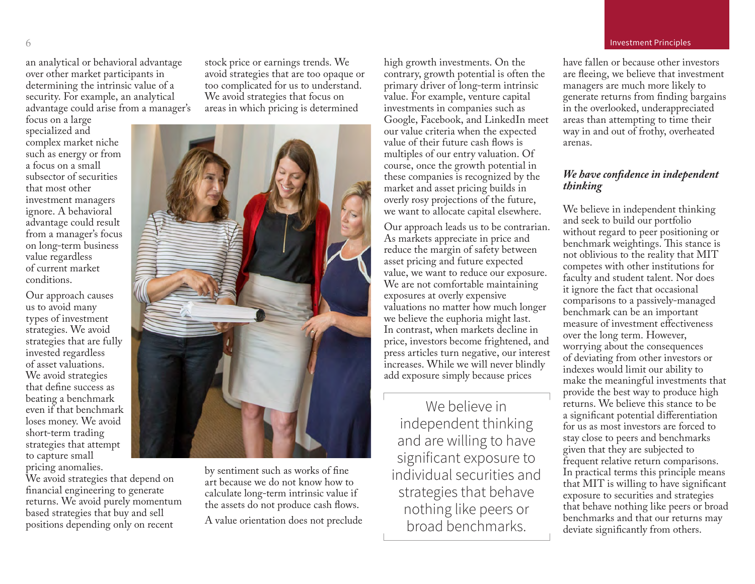an analytical or behavioral advantage over other market participants in determining the intrinsic value of a security. For example, an analytical advantage could arise from a manager's

focus on a large specialized and complex market niche such as energy or from a focus on a small subsector of securities that most other investment managers ignore. A behavioral advantage could result from a manager's focus on long-term business value regardless of current market conditions.

Our approach causes us to avoid many types of investment strategies. We avoid strategies that are fully invested regardless of asset valuations. We avoid strategies that define success as beating a benchmark even if that benchmark loses money. We avoid short-term trading strategies that attempt to capture small pricing anomalies.

We avoid strategies that depend on financial engineering to generate returns. We avoid purely momentum based strategies that buy and sell positions depending only on recent

stock price or earnings trends. We avoid strategies that are too opaque or too complicated for us to understand. We avoid strategies that focus on areas in which pricing is determined



art because we do not know how to calculate long-term intrinsic value if the assets do not produce cash flows. A value orientation does not preclude

high growth investments. On the contrary, growth potential is often the primary driver of long-term intrinsic value. For example, venture capital investments in companies such as Google, Facebook, and LinkedIn meet our value criteria when the expected value of their future cash flows is multiples of our entry valuation. Of course, once the growth potential in these companies is recognized by the market and asset pricing builds in overly rosy projections of the future, we want to allocate capital elsewhere.

Our approach leads us to be contrarian. As markets appreciate in price and reduce the margin of safety between asset pricing and future expected value, we want to reduce our exposure. We are not comfortable maintaining exposures at overly expensive valuations no matter how much longer we believe the euphoria might last. In contrast, when markets decline in price, investors become frightened, and press articles turn negative, our interest increases. While we will never blindly add exposure simply because prices

We believe in independent thinking and are willing to have significant exposure to individual securities and strategies that behave nothing like peers or broad benchmarks.

have fallen or because other investors are fleeing, we believe that investment managers are much more likely to generate returns from finding bargains in the overlooked, underappreciated

areas than attempting to time their way in and out of frothy, overheated arenas.

#### *We have confidence in independent thinking*

We believe in independent thinking and seek to build our portfolio without regard to peer positioning or benchmark weightings. This stance is not oblivious to the reality that MIT competes with other institutions for faculty and student talent. Nor does it ignore the fact that occasional comparisons to a passively-managed benchmark can be an important measure of investment effectiveness over the long term. However, worrying about the consequences of deviating from other investors or indexes would limit our ability to make the meaningful investments that provide the best way to produce high returns. We believe this stance to be a significant potential differentiation for us as most investors are forced to stay close to peers and benchmarks given that they are subjected to frequent relative return comparisons. In practical terms this principle means that MIT is willing to have significant exposure to securities and strategies that behave nothing like peers or broad benchmarks and that our returns may deviate significantly from others.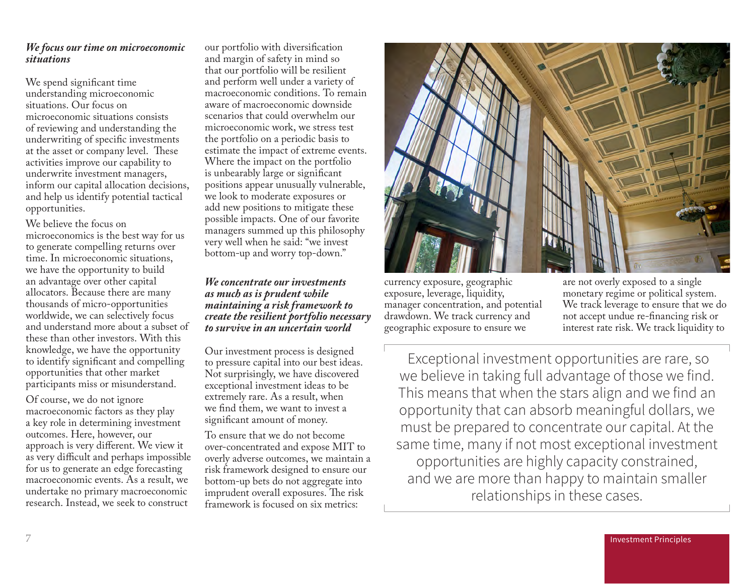#### *We focus our time on microeconomic situations*

We spend significant time understanding microeconomic situations. Our focus on microeconomic situations consists of reviewing and understanding the underwriting of specific investments at the asset or company level. These activities improve our capability to underwrite investment managers, inform our capital allocation decisions, and help us identify potential tactical opportunities.

We believe the focus on microeconomics is the best way for us to generate compelling returns over time. In microeconomic situations, we have the opportunity to build an advantage over other capital allocators. Because there are many thousands of micro-opportunities worldwide, we can selectively focus and understand more about a subset of these than other investors. With this knowledge, we have the opportunity to identify significant and compelling opportunities that other market participants miss or misunderstand.

Of course, we do not ignore macroeconomic factors as they play a key role in determining investment outcomes. Here, however, our approach is very different. We view it as very difficult and perhaps impossible for us to generate an edge forecasting macroeconomic events. As a result, we undertake no primary macroeconomic research. Instead, we seek to construct

our portfolio with diversification and margin of safety in mind so that our portfolio will be resilient and perform well under a variety of macroeconomic conditions. To remain aware of macroeconomic downside scenarios that could overwhelm our microeconomic work, we stress test the portfolio on a periodic basis to estimate the impact of extreme events. Where the impact on the portfolio is unbearably large or significant positions appear unusually vulnerable, we look to moderate exposures or add new positions to mitigate these possible impacts. One of our favorite managers summed up this philosophy very well when he said: "we invest bottom-up and worry top-down."

#### *We concentrate our investments as much as is prudent while maintaining a risk framework to create the resilient portfolio necessary to survive in an uncertain world*

Our investment process is designed to pressure capital into our best ideas. Not surprisingly, we have discovered exceptional investment ideas to be extremely rare. As a result, when we find them, we want to invest a significant amount of money.

To ensure that we do not become over-concentrated and expose MIT to overly adverse outcomes, we maintain a risk framework designed to ensure our bottom-up bets do not aggregate into imprudent overall exposures. The risk framework is focused on six metrics:



currency exposure, geographic exposure, leverage, liquidity, manager concentration, and potential drawdown. We track currency and geographic exposure to ensure we

are not overly exposed to a single monetary regime or political system. We track leverage to ensure that we do not accept undue re-financing risk or interest rate risk. We track liquidity to

 Exceptional investment opportunities are rare, so we believe in taking full advantage of those we find. This means that when the stars align and we find an opportunity that can absorb meaningful dollars, we must be prepared to concentrate our capital. At the same time, many if not most exceptional investment opportunities are highly capacity constrained, and we are more than happy to maintain smaller relationships in these cases.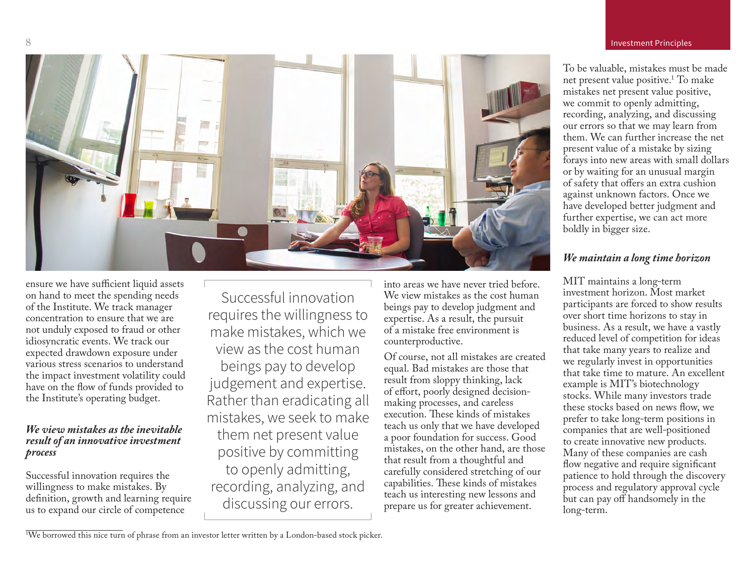

ensure we have sufficient liquid assets on hand to meet the spending needs of the Institute. We track manager concentration to ensure that we are not unduly exposed to fraud or other idiosyncratic events. We track our expected drawdown exposure under various stress scenarios to understand the impact investment volatility could have on the flow of funds provided to the Institute's operating budget.

#### *We view mistakes as the inevitable result of an innovative investment process*

Successful innovation requires the willingness to make mistakes. By definition, growth and learning require us to expand our circle of competence

Successful innovation requires the willingness to make mistakes, which we view as the cost human beings pay to develop judgement and expertise. Rather than eradicating all mistakes, we seek to make them net present value positive by committing to openly admitting, recording, analyzing, and discussing our errors.

into areas we have never tried before. We view mistakes as the cost human beings pay to develop judgment and expertise. As a result, the pursuit of a mistake free environment is counterproductive.

Of course, not all mistakes are created equal. Bad mistakes are those that result from sloppy thinking, lack of effort, poorly designed decisionmaking processes, and careless execution. These kinds of mistakes teach us only that we have developed a poor foundation for success. Good mistakes, on the other hand, are those that result from a thoughtful and carefully considered stretching of our capabilities. These kinds of mistakes teach us interesting new lessons and prepare us for greater achievement.

To be valuable, mistakes must be made net present value positive.1 To make mistakes net present value positive, we commit to openly admitting, recording, analyzing, and discussing our errors so that we may learn from them. We can further increase the net present value of a mistake by sizing forays into new areas with small dollars or by waiting for an unusual margin of safety that offers an extra cushion against unknown factors. Once we have developed better judgment and further expertise, we can act more boldly in bigger size.

#### *We maintain a long time horizon*

MIT maintains a long-term investment horizon. Most market participants are forced to show results over short time horizons to stay in business. As a result, we have a vastly reduced level of competition for ideas that take many years to realize and we regularly invest in opportunities that take time to mature. An excellent example is MIT's biotechnology stocks. While many investors trade these stocks based on news flow, we prefer to take long-term positions in companies that are well-positioned to create innovative new products. Many of these companies are cash flow negative and require significant patience to hold through the discovery process and regulatory approval cycle but can pay off handsomely in the long-term.

1 We borrowed this nice turn of phrase from an investor letter written by a London-based stock picker.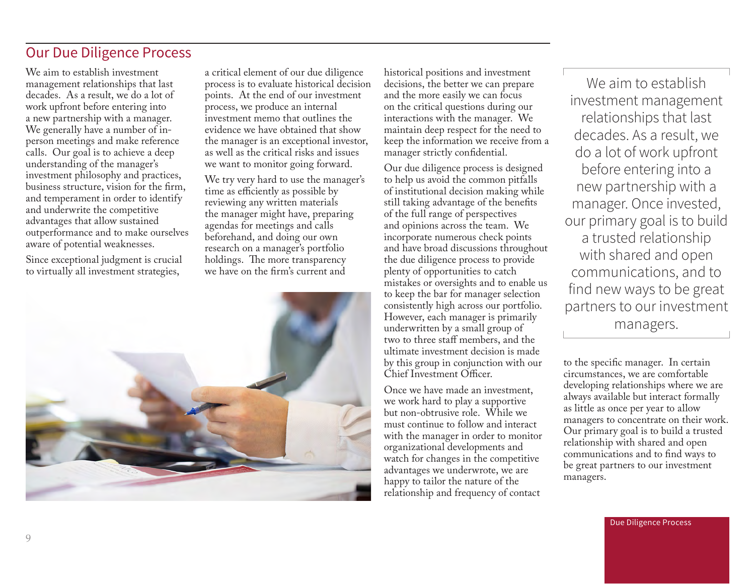## Our Due Diligence Process

We aim to establish investment management relationships that last decades. As a result, we do a lot of work upfront before entering into a new partnership with a manager. We generally have a number of inperson meetings and make reference calls. Our goal is to achieve a deep understanding of the manager's investment philosophy and practices, business structure, vision for the firm, and temperament in order to identify and underwrite the competitive advantages that allow sustained outperformance and to make ourselves aware of potential weaknesses.

Since exceptional judgment is crucial to virtually all investment strategies,

a critical element of our due diligence process is to evaluate historical decision points. At the end of our investment process, we produce an internal investment memo that outlines the evidence we have obtained that show the manager is an exceptional investor, as well as the critical risks and issues we want to monitor going forward.

We try very hard to use the manager's time as efficiently as possible by reviewing any written materials the manager might have, preparing agendas for meetings and calls beforehand, and doing our own research on a manager's portfolio holdings. The more transparency we have on the firm's current and



historical positions and investment decisions, the better we can prepare and the more easily we can focus on the critical questions during our interactions with the manager. We maintain deep respect for the need to keep the information we receive from a manager strictly confidential.

Our due diligence process is designed to help us avoid the common pitfalls of institutional decision making while still taking advantage of the benefits of the full range of perspectives and opinions across the team. We incorporate numerous check points and have broad discussions throughout the due diligence process to provide plenty of opportunities to catch mistakes or oversights and to enable us to keep the bar for manager selection consistently high across our portfolio. However, each manager is primarily underwritten by a small group of two to three staff members, and the ultimate investment decision is made by this group in conjunction with our Chief Investment Officer.

Once we have made an investment, we work hard to play a supportive but non-obtrusive role. While we must continue to follow and interact with the manager in order to monitor organizational developments and watch for changes in the competitive advantages we underwrote, we are happy to tailor the nature of the relationship and frequency of contact

We aim to establish investment management relationships that last decades. As a result, we do a lot of work upfront before entering into a new partnership with a manager. Once invested, our primary goal is to build a trusted relationship with shared and open communications, and to find new ways to be great partners to our investment managers.

to the specific manager. In certain circumstances, we are comfortable developing relationships where we are always available but interact formally as little as once per year to allow managers to concentrate on their work. Our primary goal is to build a trusted relationship with shared and open communications and to find ways to be great partners to our investment managers.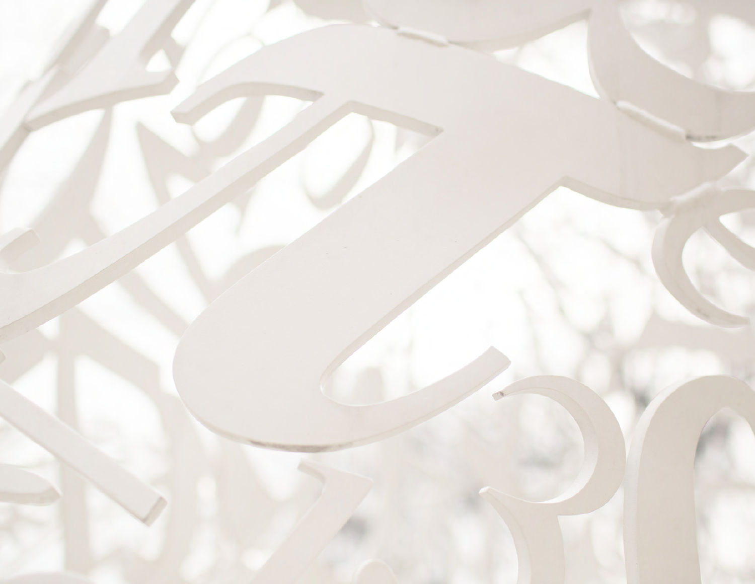